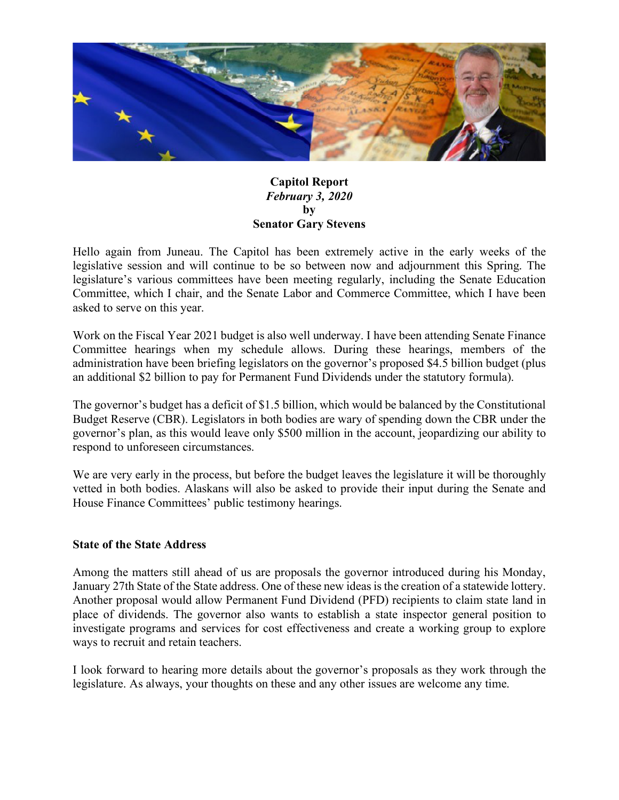

# **Capitol Report** *February 3, 2020* **by Senator Gary Stevens**

Hello again from Juneau. The Capitol has been extremely active in the early weeks of the legislative session and will continue to be so between now and adjournment this Spring. The legislature's various committees have been meeting regularly, including the Senate Education Committee, which I chair, and the Senate Labor and Commerce Committee, which I have been asked to serve on this year.

Work on the Fiscal Year 2021 budget is also well underway. I have been attending Senate Finance Committee hearings when my schedule allows. During these hearings, members of the administration have been briefing legislators on the governor's proposed \$4.5 billion budget (plus an additional \$2 billion to pay for Permanent Fund Dividends under the statutory formula).

The governor's budget has a deficit of \$1.5 billion, which would be balanced by the Constitutional Budget Reserve (CBR). Legislators in both bodies are wary of spending down the CBR under the governor's plan, as this would leave only \$500 million in the account, jeopardizing our ability to respond to unforeseen circumstances.

We are very early in the process, but before the budget leaves the legislature it will be thoroughly vetted in both bodies. Alaskans will also be asked to provide their input during the Senate and House Finance Committees' public testimony hearings.

### **State of the State Address**

Among the matters still ahead of us are proposals the governor introduced during his Monday, January 27th State of the State address. One of these new ideas is the creation of a statewide lottery. Another proposal would allow Permanent Fund Dividend (PFD) recipients to claim state land in place of dividends. The governor also wants to establish a state inspector general position to investigate programs and services for cost effectiveness and create a working group to explore ways to recruit and retain teachers.

I look forward to hearing more details about the governor's proposals as they work through the legislature. As always, your thoughts on these and any other issues are welcome any time.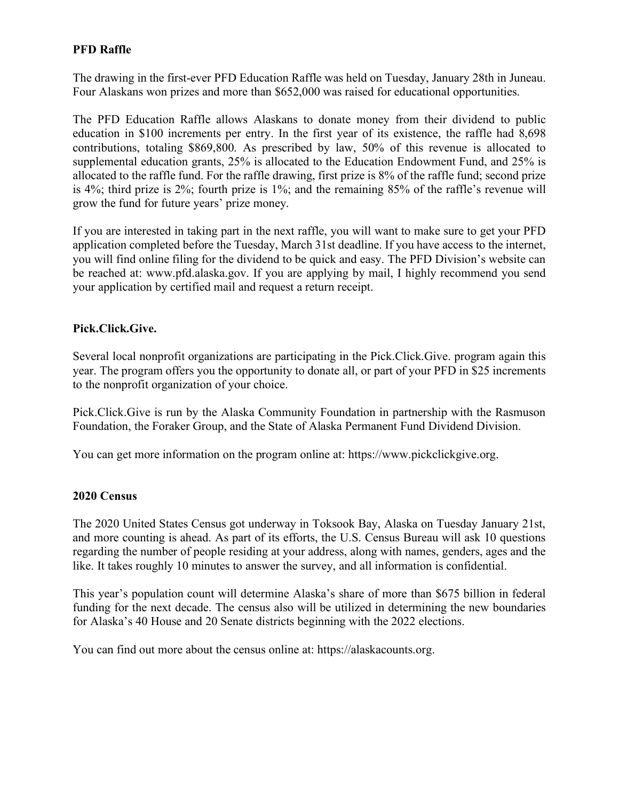# **PFD Raffle**

The drawing in the first-ever PFD Education Raffle was held on Tuesday, January 28th in Juneau. Four Alaskans won prizes and more than \$652,000 was raised for educational opportunities.

The PFD Education Raffle allows Alaskans to donate money from their dividend to public education in \$100 increments per entry. In the first year of its existence, the raffle had 8,698 contributions, totaling \$869,800. As prescribed by law, 50% of this revenue is allocated to supplemental education grants, 25% is allocated to the Education Endowment Fund, and 25% is allocated to the raffle fund. For the raffle drawing, first prize is 8% of the raffle fund; second prize is 4%; third prize is 2%; fourth prize is 1%; and the remaining 85% of the raffle's revenue will grow the fund for future years' prize money.

If you are interested in taking part in the next raffle, you will want to make sure to get your PFD application completed before the Tuesday, March 31st deadline. If you have access to the internet, you will find online filing for the dividend to be quick and easy. The PFD Division's website can be reached at: www.pfd.alaska.gov. If you are applying by mail, I highly recommend you send your application by certified mail and request a return receipt.

## **Pick.Click.Give.**

Several local nonprofit organizations are participating in the Pick.Click.Give. program again this year. The program offers you the opportunity to donate all, or part of your PFD in \$25 increments to the nonprofit organization of your choice.

Pick.Click.Give is run by the Alaska Community Foundation in partnership with the Rasmuson Foundation, the Foraker Group, and the State of Alaska Permanent Fund Dividend Division.

You can get more information on the program online at: https://www.pickclickgive.org.

### **2020 Census**

The 2020 United States Census got underway in Toksook Bay, Alaska on Tuesday January 21st, and more counting is ahead. As part of its efforts, the U.S. Census Bureau will ask 10 questions regarding the number of people residing at your address, along with names, genders, ages and the like. It takes roughly 10 minutes to answer the survey, and all information is confidential.

This year's population count will determine Alaska's share of more than \$675 billion in federal funding for the next decade. The census also will be utilized in determining the new boundaries for Alaska's 40 House and 20 Senate districts beginning with the 2022 elections.

You can find out more about the census online at: https://alaskacounts.org.